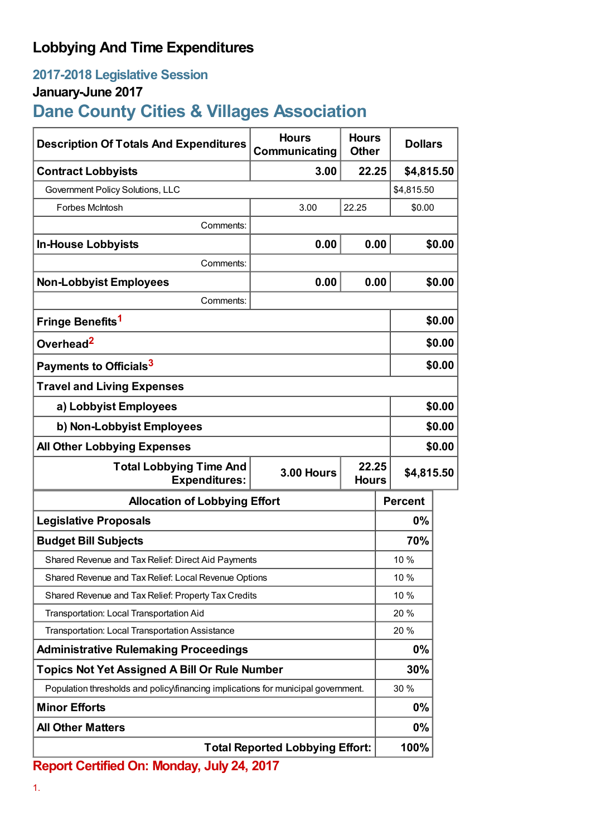## **Lobbying And Time Expenditures**

### **2017-2018 Legislative Session**

### **January-June 2017**

# **Dane County Cities & Villages Association**

| <b>Description Of Totals And Expenditures</b>                                     | <b>Hours</b><br>Communicating          | <b>Hours</b><br><b>Other</b> | <b>Dollars</b> |        |  |
|-----------------------------------------------------------------------------------|----------------------------------------|------------------------------|----------------|--------|--|
| <b>Contract Lobbyists</b>                                                         | 3.00                                   | 22.25                        | \$4,815.50     |        |  |
| Government Policy Solutions, LLC                                                  |                                        |                              | \$4,815.50     |        |  |
| Forbes McIntosh                                                                   | 3.00                                   | 22.25                        | \$0.00         |        |  |
| Comments:                                                                         |                                        |                              |                |        |  |
| <b>In-House Lobbyists</b>                                                         | 0.00                                   | 0.00                         |                | \$0.00 |  |
| Comments:                                                                         |                                        |                              |                |        |  |
| <b>Non-Lobbyist Employees</b>                                                     | 0.00                                   | 0.00                         |                | \$0.00 |  |
| Comments:                                                                         |                                        |                              |                |        |  |
| Fringe Benefits <sup>1</sup>                                                      |                                        |                              |                | \$0.00 |  |
| Overhead <sup>2</sup>                                                             |                                        |                              |                | \$0.00 |  |
| Payments to Officials <sup>3</sup>                                                |                                        |                              |                | \$0.00 |  |
| <b>Travel and Living Expenses</b>                                                 |                                        |                              |                |        |  |
| a) Lobbyist Employees                                                             |                                        |                              |                | \$0.00 |  |
| b) Non-Lobbyist Employees                                                         |                                        |                              |                | \$0.00 |  |
| <b>All Other Lobbying Expenses</b>                                                |                                        |                              |                | \$0.00 |  |
| <b>Total Lobbying Time And</b><br><b>Expenditures:</b>                            | <b>3.00 Hours</b>                      | 22.25<br><b>Hours</b>        | \$4,815.50     |        |  |
| <b>Allocation of Lobbying Effort</b>                                              |                                        |                              | <b>Percent</b> |        |  |
| <b>Legislative Proposals</b>                                                      |                                        |                              | $0\%$          |        |  |
| <b>Budget Bill Subjects</b>                                                       |                                        |                              | 70%            |        |  |
| Shared Revenue and Tax Relief: Direct Aid Payments                                |                                        |                              | 10 %           |        |  |
| Shared Revenue and Tax Relief: Local Revenue Options                              |                                        |                              | 10 %           |        |  |
| Shared Revenue and Tax Relief: Property Tax Credits                               |                                        |                              | 10%            |        |  |
| Transportation: Local Transportation Aid                                          |                                        |                              | 20 %           |        |  |
| Transportation: Local Transportation Assistance                                   |                                        |                              | 20%            |        |  |
| <b>Administrative Rulemaking Proceedings</b>                                      |                                        |                              | $0\%$          |        |  |
| <b>Topics Not Yet Assigned A Bill Or Rule Number</b>                              |                                        |                              | 30%            |        |  |
| Population thresholds and policy financing implications for municipal government. |                                        |                              | 30 %           |        |  |
| <b>Minor Efforts</b>                                                              |                                        |                              | $0\%$          |        |  |
| <b>All Other Matters</b>                                                          |                                        |                              | 0%             |        |  |
|                                                                                   | <b>Total Reported Lobbying Effort:</b> |                              | 100%           |        |  |

**Report Certified On: Monday, July 24, 2017**